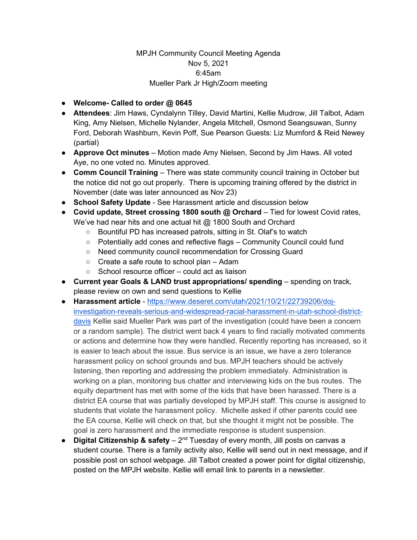## MPJH Community Council Meeting Agenda Nov 5, 2021 6:45am Mueller Park Jr High/Zoom meeting

- **Welcome- Called to order @ 0645**
- **Attendees**: Jim Haws, Cyndalynn Tilley, David Martini, Kellie Mudrow, Jill Talbot, Adam King, Amy Nielsen, Michelle Nylander, Angela Mitchell, Osmond Seangsuwan, Sunny Ford, Deborah Washburn, Kevin Poff, Sue Pearson Guests: Liz Mumford & Reid Newey (partial)
- **Approve Oct minutes** Motion made Amy Nielsen, Second by Jim Haws. All voted Aye, no one voted no. Minutes approved.
- **Comm Council Training** There was state community council training in October but the notice did not go out properly. There is upcoming training offered by the district in November (date was later announced as Nov 23)
- **School Safety Update** See Harassment article and discussion below
- **Covid update, Street crossing 1800 south @ Orchard** Tied for lowest Covid rates, We've had near hits and one actual hit @ 1800 South and Orchard
	- Bountiful PD has increased patrols, sitting in St. Olaf's to watch
	- Potentially add cones and reflective flags Community Council could fund
	- Need community council recommendation for Crossing Guard
	- Create a safe route to school plan Adam
	- School resource officer could act as liaison
- **Current year Goals & LAND trust appropriations/ spending** spending on track, please review on own and send questions to Kellie
- **Harassment article** [https://www.deseret.com/utah/2021/10/21/22739206/doj](https://www.deseret.com/utah/2021/10/21/22739206/doj-investigation-reveals-serious-and-widespread-racial-harassment-in-utah-school-district-davis)[investigation-reveals-serious-and-widespread-racial-harassment-in-utah-school-district](https://www.deseret.com/utah/2021/10/21/22739206/doj-investigation-reveals-serious-and-widespread-racial-harassment-in-utah-school-district-davis)[davis](https://www.deseret.com/utah/2021/10/21/22739206/doj-investigation-reveals-serious-and-widespread-racial-harassment-in-utah-school-district-davis) Kellie said Mueller Park was part of the investigation (could have been a concern or a random sample). The district went back 4 years to find racially motivated comments or actions and determine how they were handled. Recently reporting has increased, so it is easier to teach about the issue. Bus service is an issue, we have a zero tolerance harassment policy on school grounds and bus. MPJH teachers should be actively listening, then reporting and addressing the problem immediately. Administration is working on a plan, monitoring bus chatter and interviewing kids on the bus routes. The equity department has met with some of the kids that have been harassed. There is a district EA course that was partially developed by MPJH staff. This course is assigned to students that violate the harassment policy. Michelle asked if other parents could see the EA course, Kellie will check on that, but she thought it might not be possible. The goal is zero harassment and the immediate response is student suspension.
- **Digital Citizenship & safety** 2<sup>nd</sup> Tuesday of every month, Jill posts on canvas a student course. There is a family activity also, Kellie will send out in next message, and if possible post on school webpage. Jill Talbot created a power point for digital citizenship, posted on the MPJH website. Kellie will email link to parents in a newsletter.